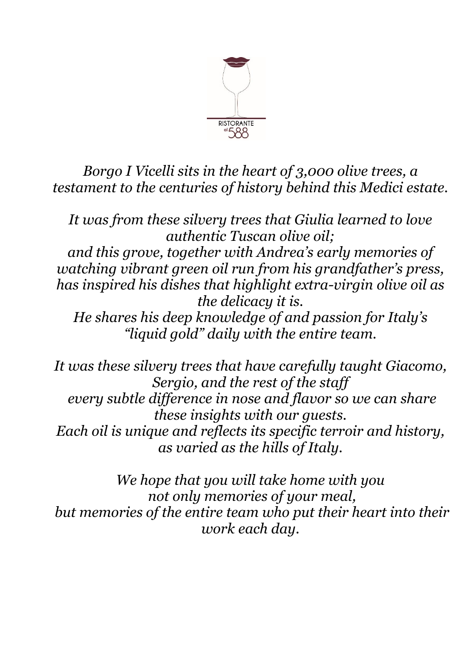

*Borgo I Vicelli sits in the heart of 3,000 olive trees, a testament to the centuries of history behind this Medici estate.*

*It was from these silvery trees that Giulia learned to love authentic Tuscan olive oil; and this grove, together with Andrea's early memories of watching vibrant green oil run from his grandfather's press, has inspired his dishes that highlight extra-virgin olive oil as the delicacy it is. He shares his deep knowledge of and passion for Italy's "liquid gold" daily with the entire team.*

*It was these silvery trees that have carefully taught Giacomo, Sergio, and the rest of the staff every subtle difference in nose and flavor so we can share these insights with our guests. Each oil is unique and reflects its specific terroir and history, as varied as the hills of Italy.*

*We hope that you will take home with you not only memories of your meal, but memories of the entire team who put their heart into their work each day.*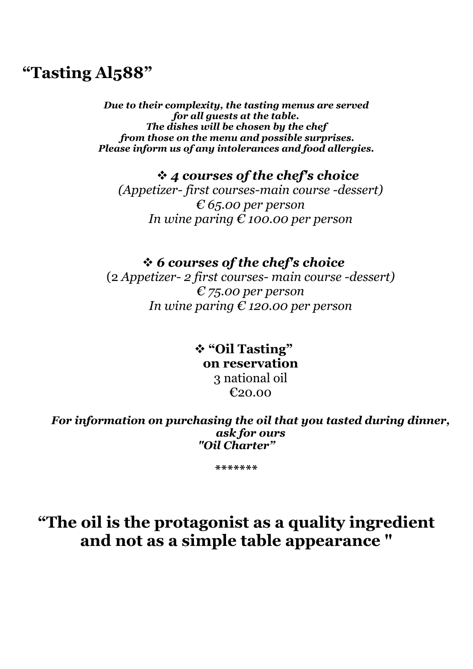### **"Tasting Al588"**

*Due to their complexity, the tasting menus are served for all guests at the table. The dishes will be chosen by the chef from those on the menu and possible surprises. Please inform us of any intolerances and food allergies.*

❖ *4 courses of the chef's choice (Appetizer- first courses-main course -dessert)*

*€ 65.00 per person In wine paring € 100.00 per person*

#### ❖ *6 courses of the chef's choice*

(2 *Appetizer- 2 first courses- main course -dessert) € 75.00 per person In wine paring € 120.00 per person*

#### ❖ **"Oil Tasting" on reservation** 3 national oil €20.00

*For information on purchasing the oil that you tasted during dinner, ask for ours "Oil Charter"*

**\*\*\*\*\*\*\***

## **"The oil is the protagonist as a quality ingredient and not as a simple table appearance "**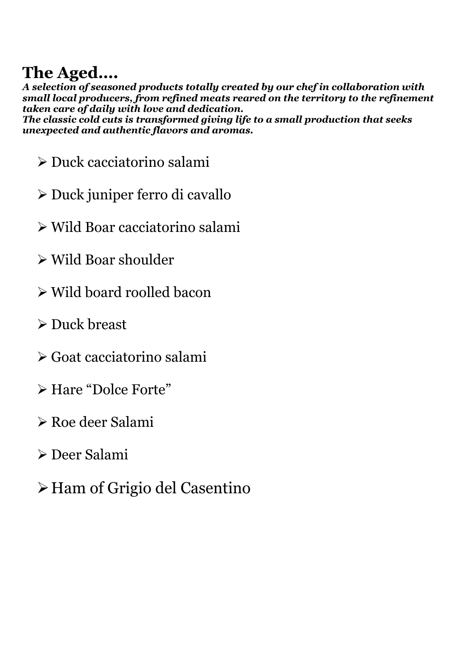# **The Aged….**

*A selection of seasoned products totally created by our chef in collaboration with small local producers, from refined meats reared on the territory to the refinement taken care of daily with love and dedication. The classic cold cuts is transformed giving life to a small production that seeks unexpected and authentic flavors and aromas.*

- ➢ Duck cacciatorino salami
- ➢ Duck juniper ferro di cavallo
- ➢ Wild Boar cacciatorino salami
- ➢ Wild Boar shoulder
- ➢ Wild board roolled bacon
- ➢ Duck breast
- ➢ Goat cacciatorino salami
- ➢ Hare "Dolce Forte"
- ➢ Roe deer Salami
- ➢ Deer Salami
- ➢Ham of Grigio del Casentino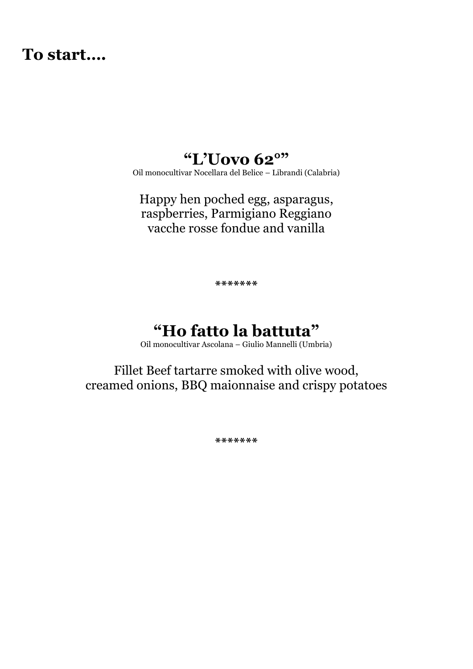### **To start….**

### **"L'Uovo 62°"**

Oil monocultivar Nocellara del Belice – Librandi (Calabria)

Happy hen poched egg, asparagus, raspberries, Parmigiano Reggiano vacche rosse fondue and vanilla

**\*\*\*\*\*\*\***

### **"Ho fatto la battuta"**

Oil monocultivar Ascolana – Giulio Mannelli (Umbria)

Fillet Beef tartarre smoked with olive wood, creamed onions, BBQ maionnaise and crispy potatoes

**\*\*\*\*\*\*\***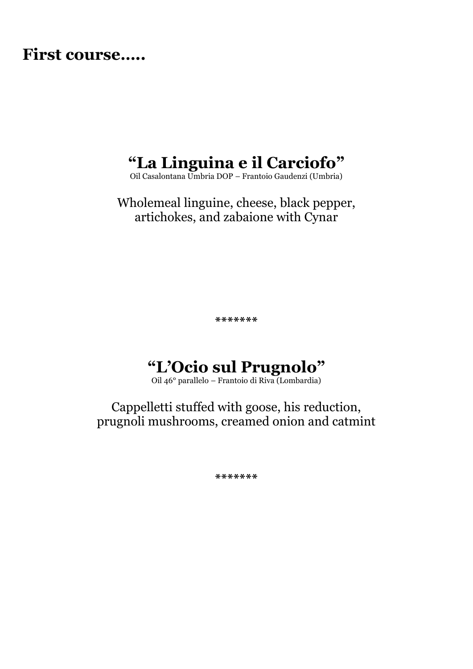### **First course…..**

# **"La Linguina e il Carciofo"**

Oil Casalontana Umbria DOP – Frantoio Gaudenzi (Umbria)

Wholemeal linguine, cheese, black pepper, artichokes, and zabaione with Cynar

**\*\*\*\*\*\*\***

## **"L'Ocio sul Prugnolo"**

Oil 46° parallelo – Frantoio di Riva (Lombardia)

Cappelletti stuffed with goose, his reduction, prugnoli mushrooms, creamed onion and catmint

**\*\*\*\*\*\*\***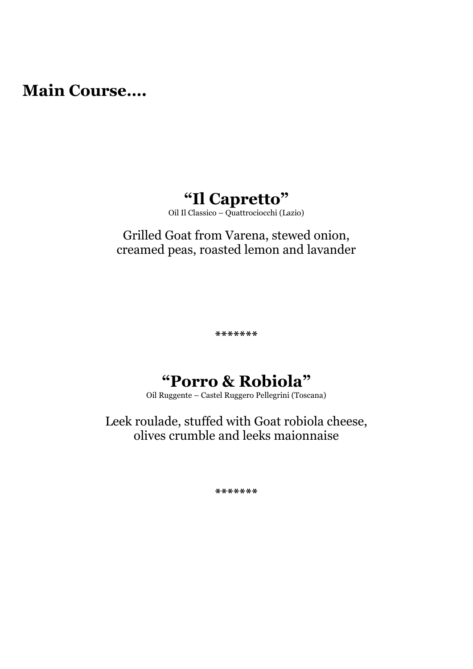**Main Course….** 

# **"Il Capretto"**

Oil Il Classico – Quattrociocchi (Lazio)

#### Grilled Goat from Varena, stewed onion, creamed peas, roasted lemon and lavander

**\*\*\*\*\*\*\***

## **"Porro & Robiola"**

Oil Ruggente – Castel Ruggero Pellegrini (Toscana)

Leek roulade, stuffed with Goat robiola cheese, olives crumble and leeks maionnaise

**\*\*\*\*\*\*\***